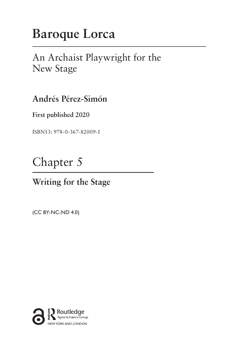# **Baroque Lorca**

### An Archaist Playwright for the New Stage

**Andrés Pérez-Simón**

**First published 2020**

ISBN13: 978-0-367-82009-1

## Chapter 5

### **Writing for the Stage**

(CC BY-NC-ND 4.0)

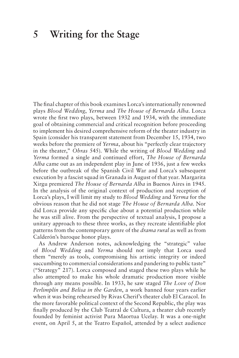#### **5 Writing for the Stage**

The final chapter of this book examines Lorca's internationally renowned plays *Blood Wedding*, *Yerma* and *The House of Bernarda Alba*. Lorca wrote the first two plays, between 1932 and 1934, with the immediate goal of obtaining commercial and critical recognition before proceeding to implement his desired comprehensive reform of the theater industry in Spain (consider his transparent statement from December 15, 1934, two weeks before the premiere of *Yerma*, about his "perfectly clear trajectory in the theater," *Obras* 545). While the writing of *Blood Wedding* and *Yerma* formed a single and continued effort, *The House of Bernarda Alba* came out as an independent play in June of 1936, just a few weeks before the outbreak of the Spanish Civil War and Lorca's subsequent execution by a fascist squad in Granada in August of that year. Margarita Xirgu premiered *The House of Bernarda Alba* in Buenos Aires in 1945. In the analysis of the original context of production and reception of Lorca's plays, I will limit my study to *Blood Wedding* and *Yerma* for the obvious reason that he did not stage *The House of Bernarda Alba*. Nor did Lorca provide any specific clue about a potential production while he was still alive. From the perspective of textual analysis, I propose a unitary approach to these three works, as they recreate identifiable plot patterns from the contemporary genre of the *drama rural* as well as from Calderón's baroque honor plays.

As Andrew Anderson notes, acknowledging the "strategic" value of *Blood Wedding* and *Yerma* should not imply that Lorca used them "merely as tools, compromising his artistic integrity or indeed succumbing to commercial considerations and pandering to public taste" ("Strategy" 217). Lorca composed and staged these two plays while he also attempted to make his whole dramatic production more visible through any means possible. In 1933, he saw staged *The Love of Don Perlimplín and Belisa in the Garden*, a work banned four years earlier when it was being rehearsed by Rivas Cherif's theater club El Caracol. In the more favorable political context of the Second Republic, the play was finally produced by the Club Teatral de Cultura, a theater club recently founded by feminist activist Pura Maortua Ucelay. It was a one-night event, on April 5, at the Teatro Español, attended by a select audience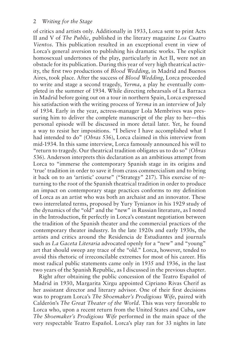of critics and artists only. Additionally in 1933, Lorca sent to print Acts II and V of *The Public*, published in the literary magazine *Los Cuatro Vientos*. This publication resulted in an exceptional event in view of Lorca's general aversion to publishing his dramatic works. The explicit homosexual undertones of the play, particularly in Act II, were not an obstacle for its publication. During this year of very high theatrical activity, the first two productions of *Blood Wedding*, in Madrid and Buenos Aires, took place. After the success of *Blood Wedding*, Lorca proceeded to write and stage a second tragedy, *Yerma*, a play he eventually completed in the summer of 1934. While directing rehearsals of La Barraca in Madrid before going out on a tour in northern Spain, Lorca expressed his satisfaction with the writing process of *Yerma* in an interview of July of 1934. Early in the year, actress-manager Lola Membrives was pressuring him to deliver the complete manuscript of the play to her—this personal episode will be discussed in more detail later. Yet, he found a way to resist her impositions. "I believe I have accomplished what I had intended to do" (*Obras* 536), Lorca claimed in this interview from mid-1934. In this same interview, Lorca famously announced his will to "return to tragedy. Our theatrical tradition obligates us to do so" (*Obras* 536). Anderson interprets this declaration as an ambitious attempt from Lorca to "immerse the contemporary Spanish stage in its origins and 'true' tradition in order to save it from crass commercialism and to bring it back on to an 'artistic' course" ("Strategy" 217). This exercise of returning to the root of the Spanish theatrical tradition in order to produce an impact on contemporary stage practices conforms to my definition of Lorca as an artist who was both an archaist and an innovator. These two interrelated terms, proposed by Yury Tynianov in his 1929 study of the dynamics of the "old" and the "new" in Russian literature, as I noted in the Introduction, fit perfectly in Lorca's constant negotiation between the tradition of the Spanish theater and the commercial practices of the contemporary theater industry. In the late 1920s and early 1930s, the artists and critics around the Residencia de Estudiantes and journals such as *La Gaceta Literaria* advocated openly for a "new" and "young" art that should sweep any trace of the "old." Lorca, however, tended to avoid this rhetoric of irreconcilable extremes for most of his career. His most radical public statements came only in 1935 and 1936, in the last two years of the Spanish Republic, as I discussed in the previous chapter.

Right after obtaining the public concession of the Teatro Español of Madrid in 1930, Margarita Xirgu appointed Cipriano Rivas Cherif as her assistant director and literary advisor. One of their first decisions was to program Lorca's *The Shoemaker's Prodigious Wife*, paired with Calderón's *The Great Theater of the World*. This was very favorable to Lorca who, upon a recent return from the United States and Cuba, saw *The Shoemaker's Prodigious Wife* performed in the main space of the very respectable Teatro Español. Lorca's play ran for 33 nights in late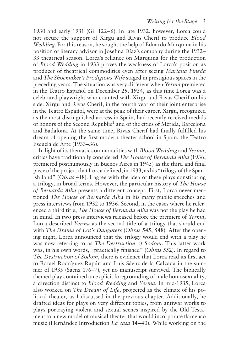1930 and early 1931 (Gil 122–6). In late 1932, however, Lorca could not secure the support of Xirgu and Rivas Cherif to produce *Blood Wedding*. For this reason, he sought the help of Eduardo Marquina in his position of literary advisor in Josefina Díaz's company during the 1932– 33 theatrical season. Lorca's reliance on Marquina for the production of *Blood Wedding* in 1933 proves the weakness of Lorca's position as producer of theatrical commodities even after seeing *Mariana Pineda* and *The Shoemaker's Prodigious Wife* staged in prestigious spaces in the preceding years. The situation was very different when *Yerma* premiered in the Teatro Español on December 29, 1934, as this time Lorca was a celebrated playwright who counted with Xirgu and Rivas Cherif on his side. Xirgu and Rivas Cherif, in the fourth year of their joint enterprise in the Teatro Español, were at the peak of their career. Xirgu, recognized as the most distinguished actress in Spain, had recently received medals of honors of the Second Republic<sup>1</sup> and of the cities of Mérida, Barcelona and Badalona. At the same time, Rivas Cherif had finally fulfilled his dream of opening the first modern theater school in Spain, the Teatro Escuela de Arte (1933–36).

In light of its thematic commonalities with *Blood Wedding* and *Yerma*, critics have traditionally considered *The House of Bernarda Alba* (1936, premiered posthumously in Buenos Aires in 1945) as the third and final piece of the project that Lorca defined, in 1933, as his "trilogy of the Spanish land" (*Obras* 418). I agree with the idea of these plays constituting a trilogy, in broad terms. However, the particular history of *The House of Bernarda Alba* presents a different concept. First, Lorca never mentioned *The House of Bernarda Alba* in his many public speeches and press interviews from 1932 to 1936. Second, in the cases where he referenced a third title, *The House of Bernarda Alba* was not the play he had in mind. In two press interviews released before the premiere of *Yerma*, Lorca described *Yerma* as the second title of a trilogy that should end with *The Drama of Lot's Daughters* (*Obras* 545, 548). After the opening night, Lorca announced that the trilogy would end with a play he was now referring to as *The Destruction of Sodom*. This latter work was, in his own words, "practically finished" (*Obras* 552). In regard to *The Destruction of Sodom*, there is evidence that Lorca read its first act to Rafael Rodríguez Rapún and Luis Sáenz de la Calzada in the summer of 1935 (Sáenz 176–7), yet no manuscript survived. The biblically themed play contained an explicit foregrounding of male homosexuality, a direction distinct to *Blood Wedding* and *Yerma*. In mid-1935, Lorca also worked on *The Dream of Life*, projected as the climax of his political theater, as I discussed in the previous chapter. Additionally, he drafted ideas for plays on very different topics, from antiwar works to plays portraying violent and sexual scenes inspired by the Old Testament to a new model of musical theater that would incorporate flamenco music (Hernández Introduction *La casa* 14–40). While working on the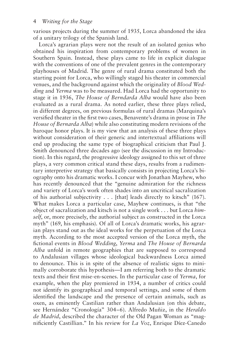various projects during the summer of 1935, Lorca abandoned the idea of a unitary trilogy of the Spanish land.

Lorca's agrarian plays were not the result of an isolated genius who obtained his inspiration from contemporary problems of women in Southern Spain. Instead, these plays came to life in explicit dialogue with the conventions of one of the prevalent genres in the contemporary playhouses of Madrid. The genre of rural drama constituted both the starting point for Lorca, who willingly staged his theater in commercial venues, and the background against which the originality of *Blood Wedding* and *Yerma* was to be measured. Had Lorca had the opportunity to stage it in 1936, *The House of Berndarda Alba* would have also been evaluated as a rural drama. As noted earlier, these three plays relied, in different degrees, on previous formulas of rural dramas (Marquina's versified theater in the first two cases, Benavente's drama in prose in *The House of Bernarda Alba*) while also constituting modern revisions of the baroque honor plays. It is my view that an analysis of these three plays without consideration of their generic and intertextual affiliations will end up producing the same type of biographical criticism that Paul J. Smith denounced three decades ago (see the discussion in my Introduction). In this regard, the progressive ideology assigned to this set of three plays, a very common critical stand these days, results from a rudimentary interpretive strategy that basically consists in projecting Lorca's biography onto his dramatic works. I concur with Jonathan Mayhew, who has recently denounced that the "genuine admiration for the richness and variety of Lorca's work often shades into an uncritical sacralization of his authorial subjectivity . . . [that] leads directly to kitsch" (167). What makes Lorca a particular case, Mayhew continues, is that "the object of sacralization and kitsch is not a single work . . . but Lorca *himself*, or, more precisely, the authorial subject as constructed in the Lorca myth" (169, his emphasis). Of all of Lorca's dramatic works, his agrarian plays stand out as the ideal works for the perpetuation of the Lorca myth. According to the most accepted version of the Lorca myth, the fictional events in *Blood Wedding*, *Yerma* and *The House of Bernarda Alba* unfold in remote geographies that are supposed to correspond to Andalusian villages whose ideological backwardness Lorca aimed to denounce. This is in spite of the absence of realistic signs to minimally corroborate this hypothesis—I am referring both to the dramatic texts and their first mise-en-scenes. In the particular case of *Yerma*, for example, when the play premiered in 1934, a number of critics could not identify its geographical and temporal settings, and some of them identified the landscape and the presence of certain animals, such as oxen, as eminently Castilian rather than Andalusian (on this debate, see Hernández "Cronología" 304–6). Alfredo Muñiz, in the *Heraldo de Madrid*, described the character of the Old Pagan Woman as "magnificiently Castillian." In his review for *La Voz*, Enrique Díez-Canedo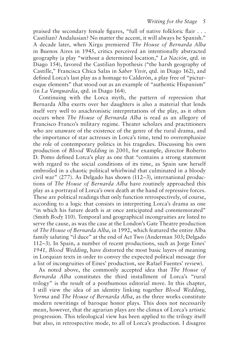praised the secondary female figures, "full of native folkloric flair . . . Castilian? Andalusian? No matter the accent, it will always be Spanish." A decade later, when Xirgu premiered *The House of Bernarda Alba* in Buenos Aires in 1945, critics perceived an intentionally abstracted geography (a play "without a determined location," *La Nación*, qtd. in Diago 154), favored the Castilian hypothesis ("the harsh geography of Castille," Francisca Chica Salas in *Saber Vivir*, qtd. in Diago 162), and defined Lorca's last play as a homage to Calderón, a play free of "picturesque elements" that stood out as an example of "authentic Hispanism" (in *La Vanguardia*, qtd. in Diago 164).

Continuing with the Lorca myth, the pattern of repression that Bernarda Alba exerts over her daughters is also a material that lends itself very well to anachronistic interpretations of the play, as it often occurs when *The House of Bernarda Alba* is read as an allegory of Francisco Franco's military regime. Theater scholars and practitioners who are unaware of the existence of the genre of the rural drama, and the importance of star actresses in Lorca's time, tend to overemphasize the role of contemporary politics in his tragedies. Discussing his own production of *Blood Wedding* in 2001, for example, director Roberto D. Pomo defined Lorca's play as one that "contains a strong statement with regard to the social conditions of its time, as Spain saw herself embroiled in a chaotic political whirlwind that culminated in a bloody civil war" (277). As Delgado has shown (112–3), international productions of *The House of Bernarda Alba* have routinely approached this play as a portrayal of Lorca's own death at the hand of repressive forces. These are political readings that only function retrospectively, of course, according to a logic that consists in interpreting Lorca's drama as one "in which his future death is at once anticipated and commemorated" (Smith *Body* 110). Temporal and geographical incongruities are listed to serve the cause, as was the case at the London's Gate Theatre production of *The House of Bernarda Alba*, in 1992, which featured the entire Alba family saluting "il duce" at the end of Act Two (Anderman 303; Delgado 112–3). In Spain, a number of recent productions, such as Jorge Eines' *1941, Blood Wedding*, have distorted the most basic layers of meaning in Lorquian texts in order to convey the expected political message (for a list of incongruities of Eines' production, see Rafael Fuentes' review).

As noted above, the commonly accepted idea that *The House of Bernarda Alba* constitutes the third installment of Lorca's "rural trilogy" is the result of a posthumous editorial move. In this chapter, I still view the idea of an identity linking together *Blood Wedding*, *Yerma* and *The House of Bernarda Alba*, as the three works constitute modern rewritings of baroque honor plays. This does not necessarily mean, however, that the agrarian plays are the climax of Lorca's artistic progression. This teleological view has been applied to the trilogy itself but also, in retrospective mode, to all of Lorca's production. I disagree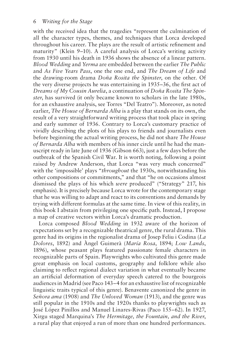with the received idea that the tragedies "represent the culmination of all the character types, themes, and techniques that Lorca developed throughout his career. The plays are the result of artistic refinement and maturity" (Klein 9–10). A careful analysis of Lorca's writing activity from 1930 until his death in 1936 shows the absence of a linear pattern. *Blood Wedding* and *Yerma* are embedded between the earlier *The Public* and *As Five Years Pass*, one the one end, and *The Dream of Life* and the drawing-room drama *Doña Rosita the Spinster*, on the other. Of the very diverse projects he was entertaining in 1935–36, the first act of *Dreams of My Cousin Aurelia*, a continuation of *Doña Rosita The Spinster*, has survived (it only became known to scholars in the late 1980s, for an exhaustive analysis, see Torres "Del Teatro"). Moreover, as noted earlier, *The House of Bernarda Alba* is a play that stands on its own, the result of a very straightforward writing process that took place in spring and early summer of 1936. Contrary to Lorca's customary practice of vividly describing the plots of his plays to friends and journalists even before beginning the actual writing process, he did not share *The House of Bernarda Alba* with members of his inner circle until he had the manuscript ready in late June of 1936 (Gibson 663), just a few days before the outbreak of the Spanish Civil War. It is worth noting, following a point raised by Andrew Anderson, that Lorca "was very much concerned" with the 'impossible' plays "*throughout* the 1930s, notwithstanding his other compositions or commitments," and that "he on occasions almost dismissed the plays of his which *were* produced" ("Strategy" 217, his emphasis). It is precisely because Lorca wrote for the contemporary stage that he was willing to adapt and react to its conventions and demands by trying with different formulas at the same time. In view of this reality, in this book I abstain from privileging one specific path. Instead, I propose a map of creative vectors within Lorca's dramatic production.

Lorca composed *Blood Wedding* in 1932 aware of the horizon of expectations set by a recognizable theatrical genre, the rural drama. This genre had its origins in the regionalist drama of Josep Feliu i Codina (*La Dolores*, 1892) and Àngel Guimerà (*María Rosa*, 1894; *Low Lands*, 1896), whose peasant plays featured passionate female characters in recognizable parts of Spain. Playwrights who cultivated this genre made great emphasis on local customs, geography and folklore while also claiming to reflect regional dialect variation in what eventually became an artificial deformation of everyday speech catered to the bourgeois audiences in Madrid (see Paco 143–4 for an exhaustive list of recognizable linguistic traits typical of this genre). Benavente canonized the genre in *Señora ama* (1908) and *The Unloved Woman* (1913), and the genre was still popular in the 1910s and the 1920s thanks to playwrights such as José López Pinillos and Manuel Linares-Rivas (Paco 155–62). In 1927, Xirgu staged Marquina's *The Hermitage, the Fountain, and the River*, a rural play that enjoyed a run of more than one hundred performances.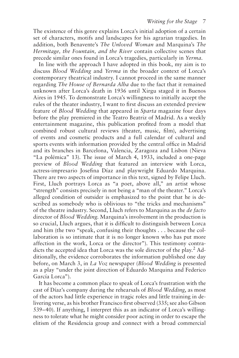The existence of this genre explains Lorca's initial adoption of a certain set of characters, motifs and landscapes for his agrarian tragedies. In addition, both Benavente's *The Unloved Woman* and Marquina's *The Hermitage, the Fountain, and the River* contain collective scenes that precede similar ones found in Lorca's tragedies, particularly in *Yerma*.

In line with the approach I have adopted in this book, my aim is to discuss *Blood Wedding* and *Yerma* in the broader context of Lorca's contemporary theatrical industry. I cannot proceed in the same manner regarding *The House of Bernarda Alba* due to the fact that it remained unknown after Lorca's death in 1936 until Xirgu staged it in Buenos Aires in 1945. To demonstrate Lorca's willingness to initially accept the rules of the theater industry, I want to first discuss an extended preview feature of *Blood Wedding* that appeared in *Sparta* magazine four days before the play premiered in the Teatro Beatriz of Madrid. As a weekly entertainment magazine, this publication profited from a model that combined robust cultural reviews (theater, music, film), advertising of events and cosmetic products and a full calendar of cultural and sports events with information provided by the central office in Madrid and its branches in Barcelona, Valencia, Zaragoza and Lisbon (Nieva "La polémica" 13). The issue of March 4, 1933, included a one-page preview of *Blood Wedding* that featured an interview with Lorca, actress-impresario Josefina Díaz and playwright Eduardo Marquina. There are two aspects of importance in this text, signed by Felipe Lluch. First, Lluch portrays Lorca as "a poet, above all," an artist whose "strength" consists precisely in not being a "man of the theater." Lorca's alleged condition of outsider is emphasized to the point that he is described as somebody who is oblivious to "the tricks and mechanisms" of the theatre industry. Second, Lluch refers to Marquina as the *de facto* director of *Blood Wedding*. Marquina's involvement in the production is so crucial, Lluch argues, that it is difficult to distinguish between Lorca and him (the two "speak, confusing their thoughts . . . because the collaboration is so intimate that it is no longer known who has put more affection in the work, Lorca or the director"). This testimony contradicts the accepted idea that Lorca was the sole director of the play.<sup>2</sup> Additionally, the evidence corroborates the information published one day before, on March 3, in *La Voz* newspaper (*Blood Wedding* is presented as a play "under the joint direction of Eduardo Marquina and Federico García Lorca").

It has become a common place to speak of Lorca's frustration with the cast of Díaz's company during the rehearsals of *Blood Wedding*, as most of the actors had little experience in tragic roles and little training in delivering verse, as his brother Francisco first observed (335; see also Gibson 539–40). If anything, I interpret this as an indicator of Lorca's willingness to tolerate what he might consider poor acting in order to escape the elitism of the Residencia group and connect with a broad commercial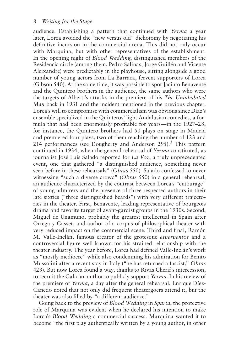audience. Establishing a pattern that continued with *Yerma* a year later, Lorca avoided the "new versus old" dichotomy by negotiating his definitive incursion in the commercial arena. This did not only occur with Marquina, but with other representatives of the establishment. In the opening night of *Blood Wedding*, distinguished members of the Residencia circle (among them, Pedro Salinas, Jorge Guillén and Vicente Aleixandre) were predictably in the playhouse, sitting alongside a good number of young actors from La Barraca, fervent supporters of Lorca (Gibson 540). At the same time, it was possible to spot Jacinto Benavente and the Quintero brothers in the audience, the same authors who were the targets of Alberti's attacks in the premiere of his *The Uninhabited Man* back in 1931 and the incident mentioned in the previous chapter. Lorca's will to compromise with commercialism was obvious since Díaz's ensemble specialized in the Quinteros' light Andalusian comedies, a formula that had been enormously profitable for years—in the 1927–28, for instance, the Quintero brothers had 50 plays on stage in Madrid and premiered four plays, two of them reaching the number of 123 and 214 performances (see Dougherty and Anderson  $295$ ).<sup>3</sup> This pattern continued in 1934, when the general rehearsal of *Yerma* constituted, as journalist José Luis Salado reported for *La Voz*, a truly unprecedented event, one that gathered "a distinguished audience, something never seen before in these rehearsals" (*Obras* 550). Salado confessed to never witnessing "such a diverse crowd" (*Obras* 550) in a general rehearsal, an audience characterized by the contrast between Lorca's "entourage" of young admirers and the presence of three respected authors in their late sixties ("three distinguished beards") with very different trajectories in the theater. First, Benavente, leading representative of bourgeois drama and favorite target of avant-gardist groups in the 1930s. Second, Miguel de Unamuno, probably the greatest intellectual in Spain after Ortega y Gasset, and author of a corpus of philosophical theater with very reduced impact on the commercial scene. Third and final, Ramón M. Valle-Inclán, famous creator of the grotesque *esperpentos* and a controversial figure well known for his strained relationship with the theater industry. The year before, Lorca had defined Valle-Inclán's work as "mostly mediocre" while also condemning his admiration for Benito Mussolini after a recent stay in Italy ("he has returned a fascist," *Obras* 423). But now Lorca found a way, thanks to Rivas Cherif's intercession, to recruit the Galician author to publicly support *Yerma*. In his review of the premiere of *Yerma*, a day after the general rehearsal, Enrique Díez-Canedo noted that not only did frequent theatergoers attend it, but the theater was also filled by "a different audience."

Going back to the preview of *Blood Wedding* in *Sparta*, the protective role of Marquina was evident when he declared his intention to make Lorca's *Blood Wedding* a commercial success. Marquina wanted it to become "the first play authentically written by a young author, in other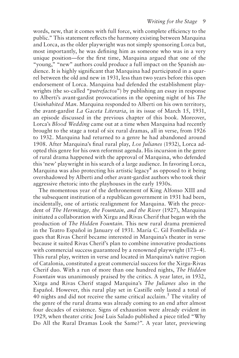words, new, that it comes with full force, with complete efficiency to the public." This statement reflects the harmony existing between Marquina and Lorca, as the older playwright was not simply sponsoring Lorca but, most importantly, he was defining him as someone who was in a very unique position—for the first time, Marquina argued that one of the "young," "new" authors could produce a full impact on the Spanish audience. It is highly significant that Marquina had participated in a quarrel between the old and new in 1931, less than two years before this open endorsement of Lorca. Marquina had defended the establishment playwrights (the so-called "*putrefactos*") by publishing an essay in response to Alberti's avant-gardist provocations in the opening night of his *The Uninhabited Man*. Marquina responded to Alberti on his own territory, the avant-gardist *La Gaceta Literaria*, in its issue of March 15, 1931, an episode discussed in the previous chapter of this book. Moreover, Lorca's *Blood Wedding* came out at a time when Marquina had recently brought to the stage a total of six rural dramas, all in verse, from 1926 to 1932. Marquina had returned to a genre he had abandoned around 1908. After Marquina's final rural play, *Los Julianes* (1932), Lorca adopted this genre for his own reformist agenda. His incursion in the genre of rural drama happened with the approval of Marquina, who defended this 'new' playwright in his search of a large audience. In favoring Lorca, Marquina was also protecting his artistic legacy<sup>4</sup> as opposed to it being overshadowed by Alberti and other avant-gardist authors who took their aggressive rhetoric into the playhouses in the early 1930s.

The momentous year of the dethronement of King Alfonso XIII and the subsequent institution of a republican government in 1931 had been, incidentally, one of artistic realignment for Marquina. With the precedent of *The Hermitage, the Fountain, and the River* (1927), Marquina initiated a collaboration with Xirgu and Rivas Cherif that began with the production of *The Hidden Fountain*. This new rural drama premiered in the Teatro Español in January of 1931. María C. Gil Fombellida argues that Rivas Cherif became interested in Marquina's theater in verse because it suited Rivas Cherif's plan to combine innovative productions with commercial success guaranteed by a renowned playwright (173–4). This rural play, written in verse and located in Marquina's native region of Catalonia, constituted a great commercial success for the Xirgu-Rivas Cherif duo. With a run of more than one hundred nights, *The Hidden Fountain* was unanimously praised by the critics. A year later, in 1932, Xirgu and Rivas Cherif staged Marquina's *The Julianes* also in the Español. However, this rural play set in Castille only lasted a total of 40 nights and did not receive the same critical acclaim.5 The vitality of the genre of the rural drama was already coming to an end after almost four decades of existence. Signs of exhaustion were already evident in 1929, when theater critic José Luis Salado published a piece titled "Why Do All the Rural Dramas Look the Same?". A year later, previewing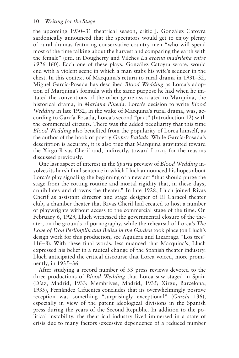the upcoming 1930–31 theatrical season, critic J. González Catoyra sardonically announced that the spectators would get to enjoy plenty of rural dramas featuring conservative country men "who will spend most of the time talking about the harvest and comparing the earth with the female" (qtd. in Dougherty and Vilches *La escena madrileña entre 1926* 160). Each one of these plays, González Catoyra wrote, would end with a violent scene in which a man stabs his wife's seducer in the chest. In this context of Marquina's return to rural drama in 1931–32, Miguel García-Posada has described *Blood Wedding* as Lorca's adoption of Marquina's formula with the same purpose he had when he imitated the conventions of the other genre associated to Marquina, the historical drama, in *Mariana Pineda*. Lorca's decision to write *Blood Wedding* in late 1932, in the wake of Marquina's rural drama, was, according to García-Posada, Lorca's second "pact" (Introduction 12) with the commercial circuits. There was the added peculiarity that this time *Blood Wedding* also benefited from the popularity of Lorca himself, as the author of the book of poetry *Gypsy Ballads*. While García-Posada's description is accurate, it is also true that Marquina gravitated toward the Xirgu-Rivas Cherif and, indirectly, toward Lorca, for the reasons discussed previously.

One last aspect of interest in the *Sparta* preview of *Blood Wedding* involves its harsh final sentence in which Lluch announced his hopes about Lorca's play signaling the beginning of a new art "that should purge the stage from the rotting routine and mortal rigidity that, in these days, annihilates and drowns the theater." In late 1928, Lluch joined Rivas Cherif as assistant director and stage designer of El Caracol theater club, a chamber theater that Rivas Cherif had created to host a number of playwrights without access to the commercial stage of the time. On February 6, 1929, Lluch witnessed the governmental closure of the theater, on the grounds of pornography, while the rehearsal of Lorca's *The Love of Don Perlimplín and Belisa in the Garden* took place (on Lluch's design work for this production, see Aguilera and Lizarraga "Los tres" 116–8). With these final words, less nuanced that Marquina's, Lluch expressed his belief in a radical change of the Spanish theater industry. Lluch anticipated the critical discourse that Lorca voiced, more prominently, in 1935–36.

After studying a record number of 53 press reviews devoted to the three productions of *Blood Wedding* that Lorca saw staged in Spain (Díaz, Madrid, 1933; Membrives, Madrid, 1935; Xirgu, Barcelona, 1935), Fernández Cifuentes concludes that its overwhelmingly positive reception was something "surprisingly exceptional" (*García* 136), especially in view of the patent ideological divisions in the Spanish press during the years of the Second Republic. In addition to the political instability, the theatrical industry lived immersed in a state of crisis due to many factors (excessive dependence of a reduced number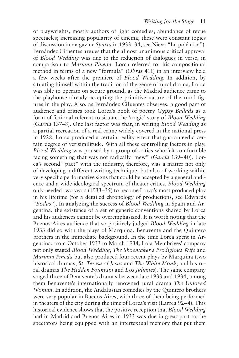of playwrights, mostly authors of light comedies; abundance of revue spectacles; increasing popularity of cinema; these were constant topics of discussion in magazine *Sparta* in 1933–34, see Nieva "La polémica"). Fernández Cifuentes argues that the almost unanimous critical approval of *Blood Wedding* was due to the reduction of dialogues in verse, in comparison to *Mariana Pineda*. Lorca referred to this compositional method in terms of a new "formula" (*Obras* 411) in an interview held a few weeks after the premiere of *Blood Wedding*. In addition, by situating himself within the tradition of the genre of rural drama, Lorca was able to operate on secure ground, as the Madrid audience came to the playhouse already accepting the primitive nature of the rural figures in the play. Also, as Fernández Cifuentes observes, a good part of audience and critics took Lorca's book of poetry *Gypsy Ballads* as a form of fictional referent to situate the 'tragic' story of *Blood Wedding* (*García* 137–8). One last factor was that, in writing *Blood Wedding* as a partial recreation of a real crime widely covered in the national press in 1928, Lorca produced a certain reality effect that guaranteed a certain degree of verisimilitude. With all these controlling factors in play, *Blood Wedding* was praised by a group of critics who felt comfortable facing something that was not radically "new" (*García* 139–40). Lorca's second "pact" with the industry, therefore, was a matter not only of developing a different writing technique, but also of working within very specific performative signs that could be accepted by a general audience and a wide ideological spectrum of theater critics. *Blood Wedding* only needed two years (1933–35) to become Lorca's most produced play in his lifetime (for a detailed chronology of productions, see Edwards "*Bodas*"). In analyzing the success of *Blood Wedding* in Spain and Argentina, the existence of a set of generic conventions shared by Lorca and his audiences cannot be overemphasized. It is worth noting that the Buenos Aires audience that so positively judged *Blood Wedding* in late 1933 did so with the plays of Marquina, Benavente and the Quintero brothers in the immediate background. In the time Lorca spent in Argentina, from October 1933 to March 1934, Lola Membrives' company not only staged *Blood Wedding*, *The Shoemaker's Prodigious Wife* and *Mariana Pineda* but also produced four recent plays by Marquina (two historical dramas, *St. Teresa of Jesus* and *The White Monk*; and his rural dramas *The Hidden Fountain* and *Los Julianes*). The same company staged three of Benavente's dramas between late 1933 and 1934, among them Benavente's internationally renowned rural drama *The Unloved Woman*. In addition, the Andalusian comedies by the Quintero brothers were very popular in Buenos Aires, with three of them being performed in theaters of the city during the time of Lorca's visit (Larrea 92–4). This historical evidence shows that the positive reception that *Blood Wedding* had in Madrid and Buenos Aires in 1933 was due in great part to the spectators being equipped with an intertextual memory that put them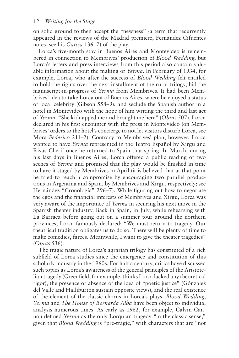on solid ground to then accept the "newness" (a term that recurrently appeared in the reviews of the Madrid premiere, Fernández Cifuentes notes, see his *García* 136–7) of the play.

Lorca's five-month stay in Buenos Aires and Montevideo is remembered in connection to Membrives' production of *Blood Wedding*, but Lorca's letters and press interviews from this period also contain valuable information about the making of *Yerma*. In February of 1934, for example, Lorca, who after the success of *Blood Wedding* felt entitled to hold the rights over the next installment of the rural trilogy, hid the manuscript-in-progress of *Yerma* from Membrives. It had been Membrives' idea to take Lorca out of Buenos Aires, where he enjoyed a status of local celebrity (Gibson 558–9), and seclude the Spanish author in a hotel in Montevideo with the hope of him writing the third and last act of *Yerma*. "She kidnapped me and brought me here" (*Obras* 507), Lorca declared in his first encounter with the press in Montevideo (on Membrives' orders to the hotel's concierge to not let visitors disturb Lorca, see Mora *Federico* 211–2). Contrary to Membrives' plan, however, Lorca wanted to have *Yerma* represented in the Teatro Español by Xirgu and Rivas Cherif once he returned to Spain that spring. In March, during his last days in Buenos Aires, Lorca offered a public reading of two scenes of *Yerma* and promised that the play would be finished in time to have it staged by Membrives in April (it is believed that at that point he tried to reach a compromise by encouraging two parallel productions in Argentina and Spain, by Membrives and Xirgu, respectively; see Hernández "Cronología" 296–7). While figuring out how to negotiate the egos and the financial interests of Membrives and Xirgu, Lorca was very aware of the importance of *Yerma* in securing his next move in the Spanish theater industry. Back in Spain, in July, while rehearsing with La Barraca before going out on a summer tour around the northern provinces, Lorca famously declared: "We must return to tragedy. Our theatrical tradition obligates us to do so. There will be plenty of time to make comedies, farces. Meanwhile, I want to give the theater tragedies" (*Obras* 536).

The tragic nature of Lorca's agrarian trilogy has constituted of a rich subfield of Lorca studies since the emergence and constitution of this scholarly industry in the 1960s. For half a century, critics have discussed such topics as Lorca's awareness of the general principles of the Aristotelian tragedy (Greenfield, for example, thinks Lorca lacked any theoretical rigor), the presence or absence of the idea of "poetic justice" (Gónzalez del Valle and Halliburton sustain opposite views), and the real existence of the element of the classic chorus in Lorca's plays. *Blood Wedding*, *Yerma* and *The House of Bernarda Alba* have been object to individual analysis numerous times. As early as 1962, for example, Calvin Cannon defined *Yerma* as the only Lorquian tragedy "in the classic sense," given that *Blood Wedding* is "pre-tragic," with characters that are "not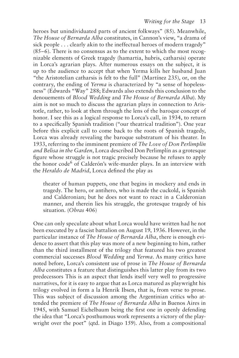heroes but unindividuated parts of ancient folkways" (85). Meanwhile, *The House of Bernarda Alba* constitutes, in Cannon's view, "a drama of sick people . . . clearly akin to the ineffectual heroes of modern tragedy" (85–6). There is no consensus as to the extent to which the most recognizable elements of Greek tragedy (hamartia, hubris, catharsis) operate in Lorca's agrarian plays. After numerous essays on the subject, it is up to the audience to accept that when Yerma kills her husband Juan "the Aristotelian catharsis is felt to the full" (Martínez 235), or, on the contrary, the ending of *Yerma* is characterized by "a sense of hopelessness" (Edwards "Way" 288; Edwards also extends this conclusion to the denouements of *Blood Wedding* and *The House of Bernarda Alba*). My aim is not so much to discuss the agrarian plays in connection to Aristotle, rather, to look at them through the lens of the baroque concept of honor. I see this as a logical response to Lorca's call, in 1934, to return to a specifically Spanish tradition ("our theatrical tradition"). One year before this explicit call to come back to the roots of Spanish tragedy, Lorca was already revealing the baroque substratum of his theater. In 1933, referring to the imminent premiere of *The Love of Don Perlimplín and Belisa in the Garden*, Lorca described Don Perlimplín as a grotesque figure whose struggle is not tragic precisely because he refuses to apply the honor code<sup>6</sup> of Calderón's wife-murder plays. In an interview with the *Heraldo de Madrid*, Lorca defined the play as

theater of human puppets, one that begins in mockery and ends in tragedy. The hero, or antihero, who is made the cuckold, is Spanish and Calderonian; but he does not want to react in a Calderonian manner, and therein lies his struggle, the grotesque tragedy of his situation. (*Obras* 406)

One can only speculate about what Lorca would have written had he not been executed by a fascist battalion on August 19, 1936. However, in the particular instance of *The House of Bernarda Alba*, there is enough evidence to assert that this play was more of a new beginning to him, rather than the third installment of the trilogy that featured his two greatest commercial successes *Blood Wedding* and *Yerma*. As many critics have noted before, Lorca's consistent use of prose in *The House of Bernarda Alba* constitutes a feature that distinguishes this latter play from its two predecessors This is an aspect that lends itself very well to progressive narratives, for it is easy to argue that as Lorca matured as playwright his trilogy evolved in form a la Henrik Ibsen, that is, from verse to prose. This was subject of discussion among the Argentinian critics who attended the premiere of *The House of Bernarda Alba* in Buenos Aires in 1945, with Samuel Eichelbaum being the first one in openly defending the idea that "Lorca's posthumous work represents a victory of the playwright over the poet" (qtd. in Diago 159). Also, from a compositional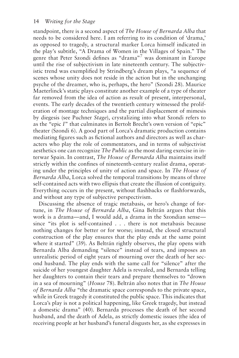standpoint, there is a second aspect of *The House of Bernarda Alba* that needs to be considered here. I am referring to its condition of 'drama,' as opposed to tragedy, a structural marker Lorca himself indicated in the play's subtitle, "A Drama of Women in the Villages of Spain." The genre that Peter Szondi defines as "drama"7 was dominant in Europe until the rise of subjectivism in late nineteenth century. The subjectivistic trend was exemplified by Strindberg's dream plays, "a sequence of scenes whose unity does not reside in the action but in the unchanging psyche of the dreamer, who is, perhaps, the hero" (Szondi 28). Maurice Maeterlinck's static plays constitute another example of a type of theater far removed from the idea of action as result of present, interpersonal, events. The early decades of the twentieth century witnessed the proliferation of montage techniques and the partial displacement of mimesis by diegesis (see Puchner *Stage*), crystalizing into what Szondi refers to as the "epic *I*" that culminates in Bertolt Brecht's own version of "epic" theater (Szondi 6). A good part of Lorca's dramatic production contains mediating figures such as fictional authors and directors as well as characters who play the role of commentators, and in terms of subjectivist aesthetics one can recognize *The Public* as the most daring exercise in interwar Spain. In contrast, *The House of Bernarda Alba* maintains itself strictly within the confines of nineteenth-century realist drama, operating under the principles of unity of action and space. In *The House of Bernarda Alba*, Lorca solved the temporal transitions by means of three self-contained acts with two ellipsis that create the illusion of contiguity. Everything occurs in the present, without flashbacks or flashforwards, and without any type of subjective perspectivism.

Discussing the absence of tragic metabasis, or hero's change of fortune, in *The House of Bernarda Alba*, Gina Beltrán argues that this work is a drama—and, I would add, a drama in the Szondian sense since "its plot is self-contained . . . there is not metabasis because nothing changes for better or for worse; instead, the closed structural construction of the play ensures that the play ends at the same point where it started" (39). As Beltrán rightly observes, the play opens with Bernarda Alba demanding "silence" instead of tears, and imposes an unrealistic period of eight years of mourning over the death of her second husband. The play ends with the same call for "silence" after the suicide of her youngest daughter Adela is revealed, and Bernarda telling her daughters to contain their tears and prepare themselves to "drown in a sea of mourning" (*House* 78). Beltrán also notes that in *The House of Bernarda Alba* "the dramatic space corresponds to the private space, while in Greek tragedy it constituted the public space. This indicates that Lorca's play is not a political happening, like Greek tragedy, but instead a domestic drama" (40). Bernarda processes the death of her second husband, and the death of Adela, as strictly domestic issues (the idea of receiving people at her husband's funeral disgusts her, as she expresses in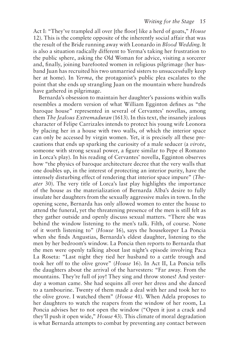Act I: "They've trampled all over [the floor] like a herd of goats," *House* 12). This is the complete opposite of the inherently social affair that was the result of the Bride running away with Leonardo in *Blood Wedding*. It is also a situation radically different to Yerma's taking her frustration to the public sphere, asking the Old Woman for advice, visiting a sorcerer and, finally, joining barefooted women in religious pilgrimage (her husband Juan has recruited his two unmarried sisters to unsuccessfully keep her at home). In *Yerma*, the protagonist's public plea escalates to the point that she ends up strangling Juan on the mountain where hundreds have gathered in pilgrimage.

Bernarda's obsession to maintain her daughter's passions within walls resembles a modern version of what William Egginton defines as "the baroque house" represented in several of Cervantes' novellas, among them *The Jealous Extremaduran* (1613). In this text, the insanely jealous character of Felipe Carrizales intends to protect his young wife Leonora by placing her in a house with two walls, of which the interior space can only be accessed by virgin women. Yet, it is precisely all these precautions that ends up sparking the curiosity of a male seducer (a *virote*, someone with strong sexual power, a figure similar to Pepe el Romano in Lorca's play). In his reading of Cervantes' novella, Egginton observes how "the physics of baroque architecture decree that the very walls that one doubles up, in the interest of protecting an interior purity, have the intensely disturbing effect of rendering that interior space impure" (*Theater* 30). The very title of Lorca's last play highlights the importance of the house as the materialization of Bernarda Alba's desire to fully insulate her daughters from the sexually aggressive males in town. In the opening scene, Bernarda has only allowed women to enter the house to attend the funeral, yet the threatening presence of the men is still felt as they gather outside and openly discuss sexual matters. "There she was behind the window listening to the men's talk. Filth, of course. None of it worth listening to" (*House* 16), says the housekeeper La Poncia when she finds Angustias, Bernarda's eldest daughter, listening to the men by her bedroom's window. La Poncia then reports to Bernarda that the men were openly talking about last night's episode involving Paca La Roseta: "Last night they tied her husband to a cattle trough and took her off to the olive grove" (*House* 16). In Act II, La Poncia tells the daughters about the arrival of the harvesters: "Far away. From the mountains. They're full of joy! They sing and throw stones! And yesterday a woman came. She had sequins all over her dress and she danced to a tambourine. Twenty of them made a deal with her and took her to the olive grove. I watched them" (*House* 41). When Adela proposes to her daughters to watch the reapers from the window of her room, La Poncia advises her to not open the window ("Open it just a crack and they'll push it open wide," *House* 43). This climate of moral degradation is what Bernarda attempts to combat by preventing any contact between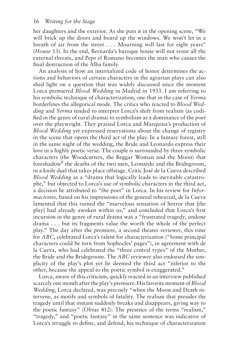her daughters and the exterior. As she puts it in the opening scene, "We will brick up the doors and board up the windows. We won't let in a breath of air from the street . . . Mourning will last for eight years" (*House* 13). In the end, Bernarda's baroque house will not resist all the external threats, and Pepe el Romano becomes the man who causes the final destruction of the Alba family.

An analysis of how an internalized code of honor determines the actions and behaviors of certain characters in the agrarian plays can also shed light on a question that was widely discussed since the moment Lorca premiered *Blood Wedding* in Madrid in 1933. I am referring to his symbolic technique of characterization, one that in the case of *Yerma* borderlines the allegorical mode. The critics who reacted to *Blood Wedding* and *Yerma* tended to interpret Lorca's shift from realism (as codified in the genre of rural drama) to symbolism as a dominance of the poet over the playwright. They praised Lorca and Marquina's production of *Blood Wedding* yet expressed reservations about the change of registry in the scene that opens the third act of the play. In a fantasy forest, still in the same night of the wedding, the Bride and Leonardo express their love in a highly poetic verse. The couple is surrounded by three symbolic characters (the Woodcutters, the Beggar Woman and the Moon) that foreshadow<sup>8</sup> the deaths of the two men, Leonardo and the Bridegroom, in a knife duel that takes place offstage. Critic José de la Cueva described *Blood Wedding* as a "drama that logically leads to inevitable catastrophe," but objected to Lorca's use of symbolic characters in the third act, a decision he attributed to "the poet" in Lorca. In his review for *Informaciones*, based on his impressions of the general rehearsal, de la Cueva lamented that this ruined the "marvelous sensation of horror that [the play] had already awoken within us," and concluded that Lorca's first incursion in the genre of rural drama was a "frustrated tragedy, undone drama . . . but its fragments value the worth the whole of the perfect play." The day after the premiere, a second theater reviewer, this time for *ABC*, celebrated Lorca's talent for characterization ("Some principal characters could be torn from Sophocles' pages"), in agreement with de la Cueva, who had celebrated the "three central types" of the Mother, the Bride and the Bridegroom. The *ABC* reviewer also endorsed the simplicity of the play's plot yet he deemed the third act "inferior to the other, because the appeal to the poetic symbol is exaggerated."

Lorca, aware of this criticism, quickly reacted in an interview published scarcely one month after the play's premiere. His favorite moment of *Blood Wedding*, Lorca declared, was precisely "when the Moon and Death intervene, as motifs and symbols of fatality. The realism that presides the tragedy until that instant suddenly breaks and disappears, giving way to the poetic fantasy" (*Obras* 412). The presence of the terms "realism," "tragedy," and "poetic fantasy" in the same sentence was indicative of Lorca's struggle to define, and defend, his technique of characterization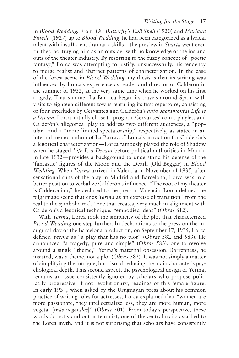in *Blood Wedding*. From *The Butterfly's Evil Spell* (1920) and *Mariana Pineda* (1927) up to *Blood Wedding*, he had been categorized as a lyrical talent with insufficient dramatic skills—the preview in *Sparta* went even further, portraying him as an outsider with no knowledge of the ins and outs of the theater industry. By resorting to the fuzzy concept of "poetic fantasy," Lorca was attempting to justify, unsuccessfully, his tendency to merge realist and abstract patterns of characterization. In the case of the forest scene in *Blood Wedding*, my thesis is that its writing was influenced by Lorca's experience as reader and director of Calderón in the summer of 1932, at the very same time when he worked on his first tragedy. That summer La Barraca began its travels around Spain with visits to eighteen different towns featuring its first repertoire, consisting of four interludes by Cervantes and Calderón's *auto sacramental Life is a Dream*. Lorca initially chose to program Cervantes' comic playlets and Calderón's allegorical play to address two different audiences, a "popular" and a "more limited spectatorship," respectively, as stated in an internal memorandum of La Barraca.9 Lorca's attraction for Calderón's allegorical characterization—Lorca famously played the role of Shadow when he staged *Life Is a Dream* before political authorities in Madrid in late 1932—provides a background to understand his defense of the 'fantastic' figures of the Moon and the Death (Old Beggar) in *Blood Wedding*. When *Yerma* arrived in Valencia in November of 1935, after sensational runs of the play in Madrid and Barcelona, Lorca was in a better position to verbalize Calderón's influence. "The root of my theater is Calderonian," he declared to the press in Valencia. Lorca defined the pilgrimage scene that ends *Yerma* as an exercise of transition "from the real to the symbolic real," one that creates, very much in alignment with Calderón's allegorical technique, "embodied ideas" (*Obras* 612).

With *Yerma*, Lorca took the simplicity of the plot that characterized *Blood Wedding* one step further. In declarations to the press on the inaugural day of the Barcelona production, on September 17, 1935, Lorca defined *Yerma* as "a play that has no plot" (*Obras* 582 and 583). He announced "a tragedy, pure and simple" (*Obras* 583), one to revolve around a single "theme," Yerma's maternal obsession. Barrenness, he insisted, was a theme, not a plot (*Obras* 582). It was not simply a matter of simplifying the intrigue, but also of reducing the main character's psychological depth. This second aspect, the psychological design of Yerma, remains an issue consistently ignored by scholars who propose politically progressive, if not revolutionary, readings of this female figure. In early 1934, when asked by the Uruguayan press about his common practice of writing roles for actresses, Lorca explained that "women are more passionate, they intellectualize less, they are more human, more vegetal [*más vegetales*]" (*Obras* 501). From today's perspective, these words do not stand out as feminist, one of the central traits ascribed to the Lorca myth, and it is not surprising that scholars have consistently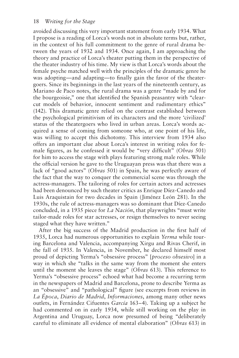avoided discussing this very important statement from early 1934. What I propose is a reading of Lorca's words not in absolute terms but, rather, in the context of his full commitment to the genre of rural drama between the years of 1932 and 1934. Once again, I am approaching the theory and practice of Lorca's theater putting them in the perspective of the theater industry of his time. My view is that Lorca's words about the female psyche matched well with the principles of the dramatic genre he was adopting—and adapting—to finally gain the favor of the theatergoers. Since its beginnings in the last years of the nineteenth century, as Mariano de Paco notes, the rural drama was a genre "made by and for the bourgeoisie," one that identified the Spanish peasantry with "clearcut models of behavior, innocent sentiment and rudimentary ethics" (142). This dramatic genre relied on the contrast established between the psychological primitivism of its characters and the more 'civilized' status of the theatergoers who lived in urban areas. Lorca's words acquired a sense of coming from someone who, at one point of his life, was willing to accept this dichotomy. This interview from 1934 also offers an important clue about Lorca's interest in writing roles for female figures, as he confessed it would be "very difficult" (*Obras* 501) for him to access the stage with plays featuring strong male roles. While the official version he gave to the Uruguayan press was that there was a lack of "good actors" (*Obras* 501) in Spain, he was perfectly aware of the fact that the way to conquer the commercial scene was through the actress-managers. The tailoring of roles for certain actors and actresses had been denounced by such theater critics as Enrique Díez-Canedo and Luis Araquistain for two decades in Spain (Jiménez León 281). In the 1930s, the rule of actress-managers was so dominant that Díez-Canedo concluded, in a 1935 piece for *La Nación*, that playwrights "must write tailor-made roles for star actresses, or resign themselves to never seeing staged what they have written."

After the big success of the Madrid production in the first half of 1935, Lorca had numerous opportunities to explain *Yerma* while touring Barcelona and Valencia, accompanying Xirgu and Rivas Cherif, in the fall of 1935. In Valencia, in November, he declared himself most proud of depicting Yerma's "obsessive process" [*proceso obsesivo*] in a way in which she "talks in the same way from the moment she enters until the moment she leaves the stage" (*Obras* 613). This reference to Yerma's "obsessive process" echoed what had become a recurring term in the newspapers of Madrid and Barcelona, prone to describe Yerma as an "obsessive" and "pathological" figure (see excerpts from reviews in *La Época*, *Diario de Madrid*, *Informaciones*, among many other news outlets, in Fernández Cifuentes *García* 163–4). Taking up a subject he had commented on in early 1934, while still working on the play in Argentina and Uruguay, Lorca now presumed of being "deliberately careful to eliminate all evidence of mental elaboration" (*Obras* 613) in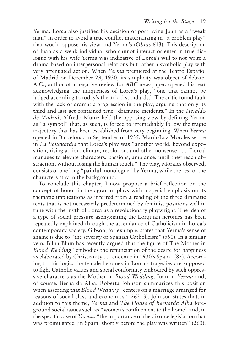Yerma. Lorca also justified his decision of portraying Juan as a "weak man" in order to avoid a true conflict materializing in "a problem play" that would oppose his view and Yerma's (*Obras* 613). This description of Juan as a weak individual who cannot interact or enter in true dialogue with his wife Yerma was indicative of Lorca's will to not write a drama based on interpersonal relations but rather a symbolic play with very attenuated action. When *Yerma* premiered at the Teatro Español of Madrid on December 29, 1930, its simplicity was object of debate. A.C., author of a negative review for *ABC* newspaper, opened his text acknowledging the uniqueness of Lorca's play, "one that cannot be judged according to today's theatrical standards." The critic found fault with the lack of dramatic progression in the play, arguing that only its third and last act contained true "dramatic incidents." In the *Heraldo de Madrid*, Alfredo Muñiz held the opposing view by defining Yerma as "a symbol" that, as such, is forced to irremediably follow the tragic trajectory that has been established from very beginning. When *Yerma* opened in Barcelona, in September of 1935, María-Luz Morales wrote in *La Vanguardia* that Lorca's play was "another world, beyond exposition, rising action, climax, resolution, and other nonsense . . . [Lorca] manages to elevate characters, passions, ambiance, until they reach abstraction, without losing the human touch." The play, Morales observed, consists of one long "painful monologue" by Yerma, while the rest of the characters stay in the background.

To conclude this chapter, I now propose a brief reflection on the concept of honor in the agrarian plays with a special emphasis on its thematic implications as inferred from a reading of the three dramatic texts that is not necessarily predetermined by feminist positions well in tune with the myth of Lorca as a revolutionary playwright. The idea of a type of social pressure asphyxiating the Lorquian heroines has been repeatedly explained through the ascendance of Catholicism in Lorca's contemporary society. Gibson, for example, states that Yerma's sense of shame is due to "the severity of Spanish Catholicism" (550). In a similar vein, Bilha Blum has recently argued that the figure of The Mother in *Blood Wedding* "embodies the renunciation of the desire for happiness as elaborated by Christianity . . . endemic in 1930's Spain" (85). According to this logic, the female heroines in Lorca's tragedies are supposed to fight Catholic values and social conformity embodied by such oppressive characters as the Mother in *Blood Wedding*, Juan in *Yerma* and, of course, Bernarda Alba. Roberta Johnson summarizes this position when asserting that *Blood Wedding* "centers on a marriage arranged for reasons of social class and economics" (262–3). Johnson states that, in addition to this theme, *Yerma* and *The House of Bernarda Alba* foreground social issues such as "women's confinement to the home" and, in the specific case of *Yerma*, "the importance of the divorce legislation that was promulgated [in Spain] shortly before the play was written" (263).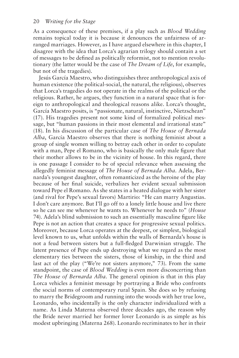As a consequence of these premises, if a play such as *Blood Wedding* remains topical today it is because it denounces the unfairness of arranged marriages. However, as I have argued elsewhere in this chapter, I disagree with the idea that Lorca's agrarian trilogy should contain a set of messages to be defined as politically reformist, not to mention revolutionary (the latter would be the case of *The Dream of Life*, for example, but not of the tragedies).

Jesús García Maestro, who distinguishes three anthropological axis of human existence (the political-social, the natural, the religious), observes that Lorca's tragedies do not operate in the realms of the political or the religious. Rather, he argues, they function in a natural space that is foreign to anthropological and theological reasons alike. Lorca's thought, García Maestro posits, is "passionate, natural, instinctive, Nietzschean" (17). His tragedies present not some kind of formalized political message, but "human passions in their most elemental and irrational state" (18). In his discussion of the particular case of *The House of Bernada Alba*, García Maestro observes that there is nothing feminist about a group of single women willing to betray each other in order to copulate with a man, Pepe el Romano, who is basically the only male figure that their mother allows to be in the vicinity of house. In this regard, there is one passage I consider to be of special relevance when assessing the allegedly feminist message of *The House of Bernada Alba*. Adela, Bernarda's youngest daughter, often romanticized as the heroine of the play because of her final suicide, verbalizes her evident sexual submission toward Pepe el Romano. As she states in a heated dialogue with her sister (and rival for Pepe's sexual favors) Martirio: "He can marry Angustias. I don't care anymore. But I'll go off to a lonely little house and live there so he can see me whenever he wants to. Whenever he needs to" (*House* 74). Adela's blind submission to such an essentially masculine figure like Pepe is not an action that creates a space for progressive sexual politics. Moreover, because Lorca operates at the deepest, or simplest, biological level known to us, what unfolds within the walls of Bernarda's house is not a feud between sisters but a full-fledged Darwinian struggle. The latent presence of Pepe ends up destroying what we regard as the most elementary ties between the sisters, those of kinship, in the third and last act of the play ("We're not sisters anymore," 73). From the same standpoint, the case of *Blood Wedding* is even more disconcerting than *The House of Bernarda Alba*. The general opinion is that in this play Lorca vehicles a feminist message by portraying a Bride who confronts the social norms of contemporary rural Spain. She does so by refusing to marry the Bridegroom and running into the woods with her true love, Leonardo, who incidentally is the only character individualized with a name. As Linda Materna observed three decades ago, the reason why the Bride never married her former lover Leonardo is as simple as his modest upbringing (Materna 268). Leonardo recriminates to her in their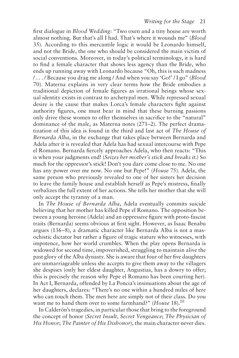first dialogue in *Blood Wedding*: "Two oxen and a tiny house are worth almost nothing. But that's all I had. That's where it wounds me" (*Blood* 35). According to this mercantile logic it would be Leonardo himself, and not the Bride, the one who should be considered the main victim of social conventions. Moreover, in today's political terminology, it is hard to find a female character that shows less agency than the Bride, who ends up running away with Leonardo because "Oh, this is such madness / . . . / Because you drag me along / And when you say 'Go!' / I go" (*Blood* 70). Materna explains in very clear terms how the Bride embodies a traditional depiction of female figures as irrational beings whose sexual identity exists in contrast to archetypal men. While repressed sexual desire is the cause that makes Lorca's female characters fight against authority figures, one must bear in mind that these burning passions only drive these women to offer themselves in sacrifice to the "natural" dominance of the male, as Materna notes (271–2). The perfect dramatization of this idea is found in the third and last act of *The House of Bernarda Alba*, in the exchange that takes place between Bernarda and Adela after it is revealed that Adela has had sexual intercourse with Pepe el Romano. Bernarda fiercely approaches Adela, who then reacts: "This is when your judgments end! (*Seizes her mother's stick and breaks it*.) So much for the oppressor's stick! Don't you dare come close to me. No one has any power over me now. No one but Pepe!" (*House* 75). Adela, the same person who previously revealed to one of her sisters her decision to leave the family house and establish herself as Pepe's mistress, finally verbalizes the full extent of her actions. She tells her mother that she will only accept the tyranny of a man.

In *The House of Bernarda Alba*, Adela eventually commits suicide believing that her mother has killed Pepe el Romano. The opposition between a young heroine (Adela) and an oppressive figure with proto-fascist traits (Bernarda) seems obvious at first sight. However, as Isaac Benabu argues (136–8), a dramatic character like Bernarda Alba is not a masochistic dictator but rather a figure of tragic stature who witnesses, with impotence, how her world crumbles. When the play opens Bernarda is widowed for second time, impoverished, struggling to maintain alive the past glory of the Alba dynasty. She is aware that four of her five daughters are unmarriageable unless she accepts to give them away to the villagers she despises (only her eldest daughter, Angustias, has a dowry to offer; this is precisely the reason why Pepe el Romano has been courting her). In Act I, Bernarda, offended by La Poncia's insinuations about the age of her daughters, declares: "There's no one within a hundred miles of here who can touch them. The men here are simply not of their class. Do you want me to hand them over to some farmhand?" (*House* 18).<sup>10</sup>

In Calderón's tragedies, in particular those that bring to the foreground the concept of honor (*Secret Insult, Secret Vengeance*; *The Physician of His Honor*; *The Painter of His Dishonor*), the main character never dies.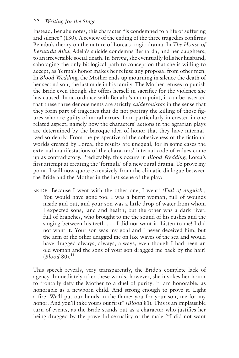Instead, Benabu notes, this character "is condemned to a life of suffering and silence" (130). A review of the ending of the three tragedies confirms Benabu's theory on the nature of Lorca's tragic drama. In *The House of Bernarda Alba*, Adela's suicide condemns Bernarda, and her daughters, to an irreversible social death. In *Yerma*, she eventually kills her husband, sabotaging the only biological path to conception that she is willing to accept, as Yerma's honor makes her refuse any proposal from other men. In *Blood Wedding*, the Mother ends up mourning in silence the death of her second son, the last male in his family. The Mother refuses to punish the Bride even though she offers herself in sacrifice for the violence she has caused. In accordance with Benabu's main point, it can be asserted that these three denouements are strictly *calderonistas* in the sense that they form part of tragedies that do not portray the killing of those figures who are guilty of moral errors. I am particularly interested in one related aspect, namely how the characters' actions in the agrarian plays are determined by the baroque idea of honor that they have internalized so dearly. From the perspective of the cohesiveness of the fictional worlds created by Lorca, the results are unequal, for in some cases the external manifestations of the characters' internal code of values come up as contradictory. Predictably, this occurs in *Blood Wedding*, Lorca's first attempt at creating the 'formula' of a new rural drama. To prove my point, I will now quote extensively from the climatic dialogue between the Bride and the Mother in the last scene of the play:

BRIDE. Because I went with the other one, I went! *(Full of anguish.)* You would have gone too. I was a burnt woman, full of wounds inside and out, and your son was a little drop of water from whom I expected sons, land and health; but the other was a dark river, full of branches, who brought to me the sound of his rushes and the singing between his teeth . . . I did not want it. Listen to me! I did not want it. Your son was my goal and I never deceived him, but the arm of the other dragged me on like waves of the sea and would have dragged always, always, always, even though I had been an old woman and the sons of your son dragged me back by the hair!  $(Blood 80).$ <sup>11</sup>

This speech reveals, very transparently, the Bride's complete lack of agency. Immediately after these words, however, she invokes her honor to frontally defy the Mother to a duel of purity: "I am honorable, as honorable as a newborn child. And strong enough to prove it. Light a fire. We'll put our hands in the flame: you for your son, me for my honor. And you'll take yours out first" (*Blood* 81). This is an implausible turn of events, as the Bride stands out as a character who justifies her being dragged by the powerful sexuality of the male ("I did not want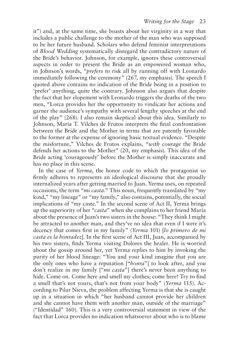it") and, at the same time, she boasts about her virginity in a way that includes a public challenge to the mother of the man who was supposed to be her future husband. Scholars who defend feminist interpretations of *Blood Wedding* systematically disregard the contradictory nature of the Bride's behavior. Johnson, for example, ignores these controversial aspects in order to present the Bride as an empowered woman who, in Johnson's words, "*prefers* to risk all by running off with Leonardo immediately following the ceremony" (267, my emphasis). The speech I quoted above contains no indication of the Bride being in a position to 'prefer' anything, quite the contrary. Johnson also argues that despite the fact that her elopement with Leonardo triggers the deaths of the two men, "Lorca provides her the opportunity to vindicate her actions and garner the audience's sympathy with several lengthy speeches at the end of the play" (268). I also remain skeptical about this idea. Similarly to Johnson, María T. Vilches de Frutos interprets the final confrontation between the Bride and the Mother in terms that are patently favorable to the former at the expense of ignoring basic textual evidence. "Despite the misfortune," Vilches de Frutos explains, "*with courage* the Bride defends her actions to the Mother" (20, my emphasis). This idea of the Bride acting 'courageously' before the Mother is simply inaccurate and has no place in this scene.

In the case of *Yerma*, the honor code to which the protagonist so firmly adheres to represents an ideological discourse that she proudly internalized years after getting married to Juan. Yerma uses, on repeated occasions, the term "*mi casta*." This noun, frequently translated by "my kind," "my lineage" or "my family," also contains, potentially, the social implications of "my caste." In the second scene of Act II, Yerma brings up the superiority of her "*casta*" when she complains to her friend María about the presence of Juan's two sisters in the house: "They think I might be attracted to another man, and they've no idea that even if I were it's decency that comes first in my family" (*Yerma* 101) [*lo primero de mi casta es la honradez*]. In the first scene of Act III, Juan, accompanied by his two sisters, finds Yerma visiting Dolores the healer. He is worried about the gossip around her, yet Yerma replies to him by invoking the purity of her blood lineage: "You and your kind imagine that you are the only ones who have a reputation ["*honra*"] to look after, and you don't realize in my family ["*mi casta*"] there's never been anything to hide. Come on. Come here and smell my clothes; come here! Try to find a smell that's not yours, that's not from your body" (*Yerma* 115). According to Pilar Nieva, the problem affecting Yerma is that she is caught up in a situation in which "her husband cannot provide her children and she cannot have them with another man, outside of the marriage" ("Identidad" 160). This is a very controversial statement in view of the fact that Lorca provides no indication whatsoever about who is to blame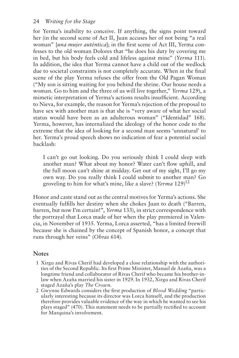for Yerma's inability to conceive. If anything, the signs point toward her (in the second scene of Act II, Juan accuses her of not being "a real woman" [*una mujer auténtica*]; in the first scene of Act III, Yerma confesses to the old woman Dolores that "he does his duty by covering me in bed, but his body feels cold and lifeless against mine" (*Yerma* 111). In addition, the idea that Yerma cannot have a child out of the wedlock due to societal constraints is not completely accurate. When in the final scene of the play Yerma refuses the offer from the Old Pagan Woman ("My son is sitting waiting for you behind the shrine. Our house needs a woman. Go to him and the three of us will live together," *Yerma* 129), a mimetic interpretation of Yerma's actions results insufficient. According to Nieva, for example, the reason for Yerma's rejection of the proposal to have sex with another man is that she is "very aware of what her social status would have been as an adulterous woman" ("Identidad" 168). Yerma, however, has internalized the ideology of the honor code to the extreme that the idea of looking for a second man seems 'unnatural' to her. Yerma's proud speech shows no indication of fear a potential social backlash:

I can't go out looking. Do you seriously think I could sleep with another man? What about my honor? Water can't flow uphill, and the full moon can't shine at midday. Get out of my sight, I'll go my own way. Do you really think I could submit to another man? Go groveling to him for what's mine, like a slave? (*Yerma* 129)12

Honor and caste stand out as the central motives for Yerma's actions. She eventually fulfills her destiny when she chokes Juan to death ("Barren, barren, but now I'm certain!", *Yerma* 133), in strict correspondence with the portrayal that Lorca made of her when the play premiered in Valencia, in November of 1935. Yerma, Lorca asserted, "has a limited freewill because she is chained by the concept of Spanish honor, a concept that runs through her veins" (*Obras* 614).

#### **Notes**

- 1 Xirgu and Rivas Cherif had developed a close relationship with the authorities of the Second Republic. Its first Prime Minister, Manuel de Azaña, was a longtime friend and collaborator of Rivas Cherif who became his brother-inlaw when Azaña married his sister in 1929. In 1932, Xirgu and Rivas Cherif staged Azaña's play *The Crown*.
- 2 Gwynne Edwards considers the first production of *Blood Wedding* "particularly interesting because its director was Lorca himself, and the production therefore provides valuable evidence of the way in which he wanted to see his plays staged" (470). This statement needs to be partially rectified to account for Marquina's involvement.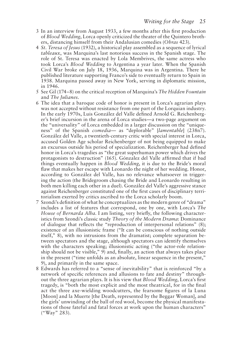- 3 In an interview from August 1933, a few months after this first production of *Blood Wedding*, Lorca openly criticized the theater of the Quintero brothers, distancing himself from their Andalusian comedies (*Obras* 423).
- 4 *St. Teresa of Jesus* (1932), a historical play assembled as a sequence of lyrical *tableaux*, was Marquina's last notorious success in the Spanish stage. The role of St. Teresa was enacted by Lola Membrives, the same actress who took Lorca's *Blood Wedding* to Argentina a year later. When the Spanish Civil War broke on July 18, 1936, Marquina was in Argentina. There he published literature supporting Franco's side to eventually return to Spain in 1938. Marquina passed away in New York, serving in diplomatic mission, in 1946.
- 5 See Gil (174–8) on the critical reception of Marquina's *The Hidden Fountain* and *The Julianes*.
- 6 The idea that a baroque code of honor is present in Lorca's agrarian plays was not accepted without resistance from one part of the Lorquian industry. In the early 1970s, Luis González del Valle defined Arnold G. Reichenberger's brief incursion in the arena of Lorca studies—a two-page argument on the "universality" of Lorca embedded in a larger discussion on the "uniqueness" of the Spanish *comedia*— as "deplorable" [*lamentable*] (238n7). González del Valle, a twentieth-century critic with special interest in Lorca, accused Golden Age scholar Reichenberger of not being equipped to make an excursus outside his period of specialization. Reichenberger had defined honor in Lorca's tragedies as "the great superhuman power which drives the protagonists to destruction" (165). Gónzalez del Valle affirmed that if bad things eventually happen in *Blood Wedding*, it is due to the Bride's moral flaw that makes her escape with Leonardo the night of her wedding. Honor, according to González del Valle, has no relevance whatsoever in triggering the action (the Bridegroom chasing the Bride and Leonardo resulting in both men killing each other in a duel). González del Valle's aggressive stance against Reichenberger constituted one of the first cases of disciplinary territorialism exerted by critics ascribed to the Lorca scholarly boom.
- 7 Szondi's definition of what he conceptualizes as the modern genre of "drama" includes a list of features that correspond, one by one, with Lorca's *The House of Bernarda Alba*. I am listing, very briefly, the following characteristics from Szondi's classic study *Theory of the Modern Drama*: Dominance of dialogue that reflects the "reproduction of interpersonal relations" (8); existence of an illusionistic frame ("It can be conscious of nothing outside itself," 8), with no intrusions from the dramatist; complete separation between spectators and the stage, although spectators can identify themselves with the characters speaking; illusionistic acting ("the actor-role relationship should not be visible," 9) and, finally, an action that always takes place in the present ("time unfolds as an absolute, linear sequence in the present," 9), and primarily in the same space.
- 8 Edwards has referred to a "sense of inevitability" that is reinforced "by a network of specific references and allusions to fate and destiny" throughout the three agrarian plays. It is his view that *Blood Wedding*, Lorca's first tragedy, is "both the most explicit and the most theatrical, for in the final act the three axe-wielding woodcutters, the fearsome figures of la Luna [Moon] and la Muerte [the Death, represented by the Beggar Woman], and the girls' unwinding of the ball of red wool, become the physical manifestations of those fateful and fatal forces at work upon the human characters" ("Way" 283).